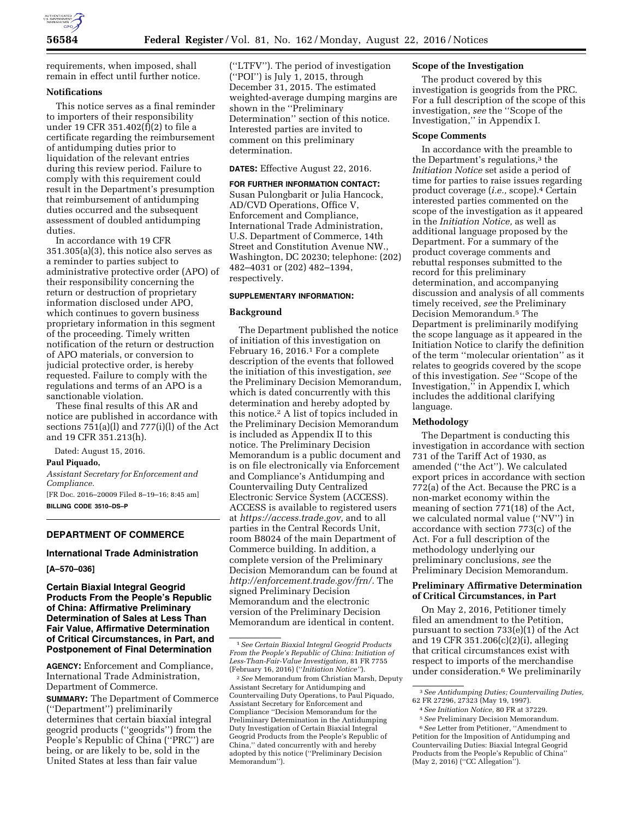

requirements, when imposed, shall remain in effect until further notice.

## **Notifications**

This notice serves as a final reminder to importers of their responsibility under 19 CFR 351.402(f)(2) to file a certificate regarding the reimbursement of antidumping duties prior to liquidation of the relevant entries during this review period. Failure to comply with this requirement could result in the Department's presumption that reimbursement of antidumping duties occurred and the subsequent assessment of doubled antidumping duties.

In accordance with 19 CFR 351.305(a)(3), this notice also serves as a reminder to parties subject to administrative protective order (APO) of their responsibility concerning the return or destruction of proprietary information disclosed under APO, which continues to govern business proprietary information in this segment of the proceeding. Timely written notification of the return or destruction of APO materials, or conversion to judicial protective order, is hereby requested. Failure to comply with the regulations and terms of an APO is a sanctionable violation.

These final results of this AR and notice are published in accordance with sections 751(a)(l) and 777(i)(l) of the Act and 19 CFR 351.213(h).

Dated: August 15, 2016.

#### **Paul Piquado,**

*Assistant Secretary for Enforcement and Compliance.* 

[FR Doc. 2016–20009 Filed 8–19–16; 8:45 am] **BILLING CODE 3510–DS–P** 

## **DEPARTMENT OF COMMERCE**

## **International Trade Administration**

**[A–570–036]** 

**Certain Biaxial Integral Geogrid Products From the People's Republic of China: Affirmative Preliminary Determination of Sales at Less Than Fair Value, Affirmative Determination of Critical Circumstances, in Part, and Postponement of Final Determination** 

**AGENCY:** Enforcement and Compliance, International Trade Administration, Department of Commerce.

**SUMMARY:** The Department of Commerce (''Department'') preliminarily determines that certain biaxial integral geogrid products (''geogrids'') from the People's Republic of China ("PRC") are being, or are likely to be, sold in the United States at less than fair value

(''LTFV''). The period of investigation (''POI'') is July 1, 2015, through December 31, 2015. The estimated weighted-average dumping margins are shown in the ''Preliminary Determination'' section of this notice. Interested parties are invited to comment on this preliminary determination.

#### **DATES:** Effective August 22, 2016.

#### **FOR FURTHER INFORMATION CONTACT:**

Susan Pulongbarit or Julia Hancock, AD/CVD Operations, Office V, Enforcement and Compliance, International Trade Administration, U.S. Department of Commerce, 14th Street and Constitution Avenue NW., Washington, DC 20230; telephone: (202) 482–4031 or (202) 482–1394, respectively.

#### **SUPPLEMENTARY INFORMATION:**

#### **Background**

The Department published the notice of initiation of this investigation on February 16, 2016.1 For a complete description of the events that followed the initiation of this investigation, *see*  the Preliminary Decision Memorandum, which is dated concurrently with this determination and hereby adopted by this notice.2 A list of topics included in the Preliminary Decision Memorandum is included as Appendix II to this notice. The Preliminary Decision Memorandum is a public document and is on file electronically via Enforcement and Compliance's Antidumping and Countervailing Duty Centralized Electronic Service System (ACCESS). ACCESS is available to registered users at *[https://access.trade.gov,](https://access.trade.gov)* and to all parties in the Central Records Unit, room B8024 of the main Department of Commerce building. In addition, a complete version of the Preliminary Decision Memorandum can be found at *[http://enforcement.trade.gov/frn/.](http://enforcement.trade.gov/frn/)* The signed Preliminary Decision Memorandum and the electronic version of the Preliminary Decision Memorandum are identical in content.

#### **Scope of the Investigation**

The product covered by this investigation is geogrids from the PRC. For a full description of the scope of this investigation, *see* the ''Scope of the Investigation,'' in Appendix I.

#### **Scope Comments**

In accordance with the preamble to the Department's regulations,<sup>3</sup> the *Initiation Notice* set aside a period of time for parties to raise issues regarding product coverage (*i.e.,* scope).4 Certain interested parties commented on the scope of the investigation as it appeared in the *Initiation Notice,* as well as additional language proposed by the Department. For a summary of the product coverage comments and rebuttal responses submitted to the record for this preliminary determination, and accompanying discussion and analysis of all comments timely received, *see* the Preliminary Decision Memorandum.5 The Department is preliminarily modifying the scope language as it appeared in the Initiation Notice to clarify the definition of the term ''molecular orientation'' as it relates to geogrids covered by the scope of this investigation. *See* ''Scope of the Investigation,'' in Appendix I, which includes the additional clarifying language.

#### **Methodology**

The Department is conducting this investigation in accordance with section 731 of the Tariff Act of 1930, as amended (''the Act''). We calculated export prices in accordance with section 772(a) of the Act. Because the PRC is a non-market economy within the meaning of section 771(18) of the Act, we calculated normal value (''NV'') in accordance with section 773(c) of the Act. For a full description of the methodology underlying our preliminary conclusions, *see* the Preliminary Decision Memorandum.

#### **Preliminary Affirmative Determination of Critical Circumstances, in Part**

On May 2, 2016, Petitioner timely filed an amendment to the Petition, pursuant to section 733(e)(1) of the Act and 19 CFR 351.206(c)(2)(i), alleging that critical circumstances exist with respect to imports of the merchandise under consideration.6 We preliminarily

<sup>1</sup>*See Certain Biaxial Integral Geogrid Products From the People's Republic of China: Initiation of Less-Than-Fair-Value Investigation,* 81 FR 7755 (February 16, 2016) (''*Initiation Notice''*).

<sup>2</sup>*See* Memorandum from Christian Marsh, Deputy Assistant Secretary for Antidumping and Countervailing Duty Operations, to Paul Piquado, Assistant Secretary for Enforcement and Compliance ''Decision Memorandum for the Preliminary Determination in the Antidumping Duty Investigation of Certain Biaxial Integral Geogrid Products from the People's Republic of China,'' dated concurrently with and hereby adopted by this notice (''Preliminary Decision Memorandum'').

<sup>3</sup>*See Antidumping Duties; Countervailing Duties,*  62 FR 27296, 27323 (May 19, 1997).

<sup>4</sup>*See Initiation Notice,* 80 FR at 37229. 5*See* Preliminary Decision Memorandum.

<sup>6</sup>*See* Letter from Petitioner, ''Amendment to Petition for the Imposition of Antidumping and Countervailing Duties: Biaxial Integral Geogrid Products from the People's Republic of China'' (May 2, 2016) (''CC Allegation'').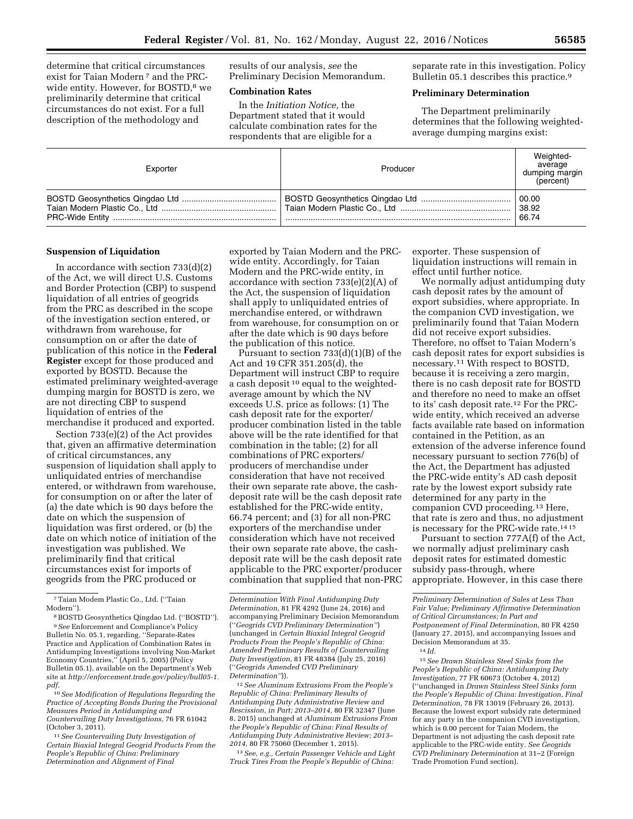determine that critical circumstances exist for Taian Modern 7 and the PRCwide entity. However, for BOSTD,<sup>8</sup> we preliminarily determine that critical circumstances do not exist. For a full description of the methodology and

results of our analysis, *see* the Preliminary Decision Memorandum.

## **Combination Rates**

In the *Initiation Notice,* the Department stated that it would calculate combination rates for the respondents that are eligible for a

separate rate in this investigation. Policy Bulletin 05.1 describes this practice.<sup>9</sup>

## **Preliminary Determination**

The Department preliminarily determines that the following weightedaverage dumping margins exist:

| Exporter | Producer | Weighted-<br>average<br>dumping margin<br>(percent) |
|----------|----------|-----------------------------------------------------|
|          |          | 00.00                                               |
|          |          | 38.92                                               |
|          |          | 66.74                                               |

#### **Suspension of Liquidation**

In accordance with section 733(d)(2) of the Act, we will direct U.S. Customs and Border Protection (CBP) to suspend liquidation of all entries of geogrids from the PRC as described in the scope of the investigation section entered, or withdrawn from warehouse, for consumption on or after the date of publication of this notice in the **Federal Register** except for those produced and exported by BOSTD. Because the estimated preliminary weighted-average dumping margin for BOSTD is zero, we are not directing CBP to suspend liquidation of entries of the merchandise it produced and exported.

Section 733(e)(2) of the Act provides that, given an affirmative determination of critical circumstances, any suspension of liquidation shall apply to unliquidated entries of merchandise entered, or withdrawn from warehouse, for consumption on or after the later of (a) the date which is 90 days before the date on which the suspension of liquidation was first ordered, or (b) the date on which notice of initiation of the investigation was published. We preliminarily find that critical circumstances exist for imports of geogrids from the PRC produced or

7Taian Modem Plastic Co., Ltd. (''Taian Modern'').

10*See Modification of Regulations Regarding the Practice of Accepting Bonds During the Provisional Measures Period in Antidumping and Countervailing Duty Investigations,* 76 FR 61042 (October 3, 2011).

11*See Countervailing Duty Investigation of Certain Biaxial Integral Geogrid Products From the People's Republic of China: Preliminary Determination and Alignment of Final* 

exported by Taian Modern and the PRCwide entity. Accordingly, for Taian Modern and the PRC-wide entity, in accordance with section 733(e)(2)(A) of the Act, the suspension of liquidation shall apply to unliquidated entries of merchandise entered, or withdrawn from warehouse, for consumption on or after the date which is 90 days before the publication of this notice.

Pursuant to section 733(d)(1)(B) of the Act and 19 CFR 351.205(d), the Department will instruct CBP to require a cash deposit 10 equal to the weightedaverage amount by which the NV exceeds U.S. price as follows: (1) The cash deposit rate for the exporter/ producer combination listed in the table above will be the rate identified for that combination in the table; (2) for all combinations of PRC exporters/ producers of merchandise under consideration that have not received their own separate rate above, the cashdeposit rate will be the cash deposit rate established for the PRC-wide entity, 66.74 percent; and (3) for all non-PRC exporters of the merchandise under consideration which have not received their own separate rate above, the cashdeposit rate will be the cash deposit rate applicable to the PRC exporter/producer combination that supplied that non-PRC

12*See Aluminum Extrusions From the People's Republic of China: Preliminary Results of Antidumping Duty Administrative Review and Rescission, in Part; 2013–2014,* 80 FR 32347 (June 8, 2015) unchanged at *Aluminum Extrusions From the People's Republic of China: Final Results of Antidumping Duty Administrative Review; 2013– 2014,* 80 FR 75060 (December 1, 2015).

13*See, e.g., Certain Passenger Vehicle and Light Truck Tires From the People's Republic of China:* 

exporter. These suspension of liquidation instructions will remain in effect until further notice.

We normally adjust antidumping duty cash deposit rates by the amount of export subsidies, where appropriate. In the companion CVD investigation, we preliminarily found that Taian Modern did not receive export subsidies. Therefore, no offset to Taian Modern's cash deposit rates for export subsidies is necessary.11 With respect to BOSTD, because it is receiving a zero margin, there is no cash deposit rate for BOSTD and therefore no need to make an offset to its' cash deposit rate.12 For the PRCwide entity, which received an adverse facts available rate based on information contained in the Petition, as an extension of the adverse inference found necessary pursuant to section 776(b) of the Act, the Department has adjusted the PRC-wide entity's AD cash deposit rate by the lowest export subsidy rate determined for any party in the companion CVD proceeding.13 Here, that rate is zero and thus, no adjustment is necessary for the PRC-wide rate.14 15

Pursuant to section 777A(f) of the Act, we normally adjust preliminary cash deposit rates for estimated domestic subsidy pass-through, where appropriate. However, in this case there

15*See Drawn Stainless Steel Sinks from the People's Republic of China: Antidumping Duty Investigation,* 77 FR 60673 (October 4, 2012) (''unchanged in *Drawn Stainless Steel Sinks form the People's Republic of China: Investigation, Final Determination,* 78 FR 13019 (February 26, 2013). Because the lowest export subsidy rate determined for any party in the companion CVD investigation, which is 0.00 percent for Taian Modern, the Department is not adjusting the cash deposit rate applicable to the PRC-wide entity. *See Geogrids CVD Preliminary Determination* at 31–2 (Foreign Trade Promotion Fund section).

<sup>8</sup>BOSTD Geosynthetics Qingdao Ltd. (''BOSTD''). 9*See* Enforcement and Compliance's Policy Bulletin No. 05.1, regarding, ''Separate-Rates Practice and Application of Combination Rates in Antidumping Investigations involving Non-Market Economy Countries,'' (April 5, 2005) (Policy Bulletin 05.1), available on the Department's Web site at *[http://enforcement.trade.gov/policy/bull05-1.](http://enforcement.trade.gov/policy/bull05-1.pdf) [pdf.](http://enforcement.trade.gov/policy/bull05-1.pdf)* 

*Determination With Final Antidumping Duty Determination,* 81 FR 4292 (June 24, 2016) and accompanying Preliminary Decision Memorandum (''*Geogrids CVD Preliminary Determination''*) (unchanged in *Certain Biaxial Integral Geogrid Products From the People's Republic of China: Amended Preliminary Results of Countervailing Duty Investigation,* 81 FR 48384 (July 25, 2016) (''*Geogrids Amended CVD Preliminary Determination''*)).

*Preliminary Determination of Sales at Less Than Fair Value; Preliminary Affirmative Determination of Critical Circumstances; In Part and Postponement of Final Determination,* 80 FR 4250 (January 27, 2015), and accompanying Issues and Decision Memorandum at 35.

<sup>14</sup> *Id.*